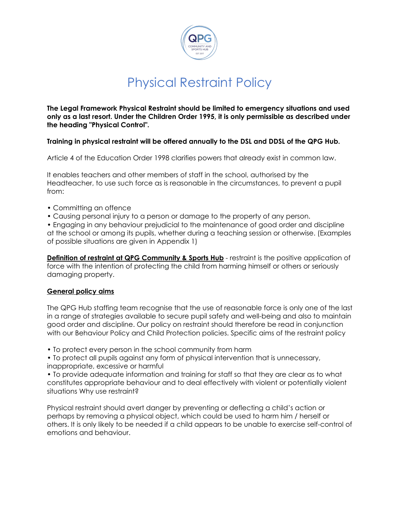

# Physical Restraint Policy

**The Legal Framework Physical Restraint should be limited to emergency situations and used only as a last resort. Under the Children Order 1995, it is only permissible as described under the heading "Physical Control".**

### **Training in physical restraint will be offered annually to the DSL and DDSL of the QPG Hub.**

Article 4 of the Education Order 1998 clarifies powers that already exist in common law.

It enables teachers and other members of staff in the school, authorised by the Headteacher, to use such force as is reasonable in the circumstances, to prevent a pupil from:

- Committing an offence
- Causing personal injury to a person or damage to the property of any person.

• Engaging in any behaviour prejudicial to the maintenance of good order and discipline at the school or among its pupils, whether during a teaching session or otherwise. (Examples of possible situations are given in Appendix 1)

**Definition of restraint at QPG Community & Sports Hub** - restraint is the positive application of force with the intention of protecting the child from harming himself or others or seriously damaging property.

#### **General policy aims**

The QPG Hub staffing team recognise that the use of reasonable force is only one of the last in a range of strategies available to secure pupil safety and well-being and also to maintain good order and discipline. Our policy on restraint should therefore be read in conjunction with our Behaviour Policy and Child Protection policies. Specific aims of the restraint policy

• To protect every person in the school community from harm

• To protect all pupils against any form of physical intervention that is unnecessary, inappropriate, excessive or harmful

• To provide adequate information and training for staff so that they are clear as to what constitutes appropriate behaviour and to deal effectively with violent or potentially violent situations Why use restraint?

Physical restraint should avert danger by preventing or deflecting a child's action or perhaps by removing a physical object, which could be used to harm him / herself or others. It is only likely to be needed if a child appears to be unable to exercise self-control of emotions and behaviour.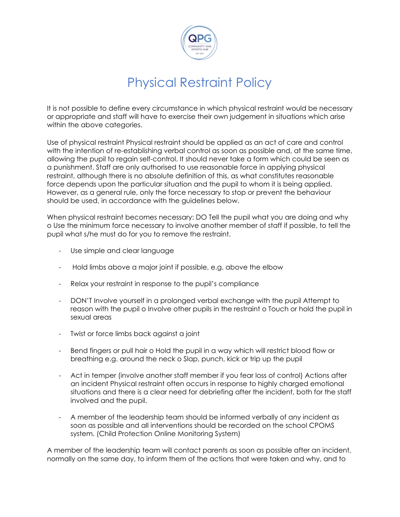

# Physical Restraint Policy

It is not possible to define every circumstance in which physical restraint would be necessary or appropriate and staff will have to exercise their own judgement in situations which arise within the above categories.

Use of physical restraint Physical restraint should be applied as an act of care and control with the intention of re-establishing verbal control as soon as possible and, at the same time, allowing the pupil to regain self-control. It should never take a form which could be seen as a punishment. Staff are only authorised to use reasonable force in applying physical restraint, although there is no absolute definition of this, as what constitutes reasonable force depends upon the particular situation and the pupil to whom it is being applied. However, as a general rule, only the force necessary to stop or prevent the behaviour should be used, in accordance with the guidelines below.

When physical restraint becomes necessary: DO Tell the pupil what you are doing and why o Use the minimum force necessary to involve another member of staff if possible, to tell the pupil what s/he must do for you to remove the restraint.

- Use simple and clear language
- Hold limbs above a major joint if possible, e.g. above the elbow
- Relax your restraint in response to the pupil's compliance
- DON'T Involve yourself in a prolonged verbal exchange with the pupil Attempt to reason with the pupil o Involve other pupils in the restraint o Touch or hold the pupil in sexual areas
- Twist or force limbs back against a joint
- Bend fingers or pull hair o Hold the pupil in a way which will restrict blood flow or breathing e.g. around the neck o Slap, punch, kick or trip up the pupil
- Act in temper (involve another staff member if you fear loss of control) Actions after an incident Physical restraint often occurs in response to highly charged emotional situations and there is a clear need for debriefing after the incident, both for the staff involved and the pupil.
- A member of the leadership team should be informed verbally of any incident as soon as possible and all interventions should be recorded on the school CPOMS system. (Child Protection Online Monitoring System)

A member of the leadership team will contact parents as soon as possible after an incident, normally on the same day, to inform them of the actions that were taken and why, and to